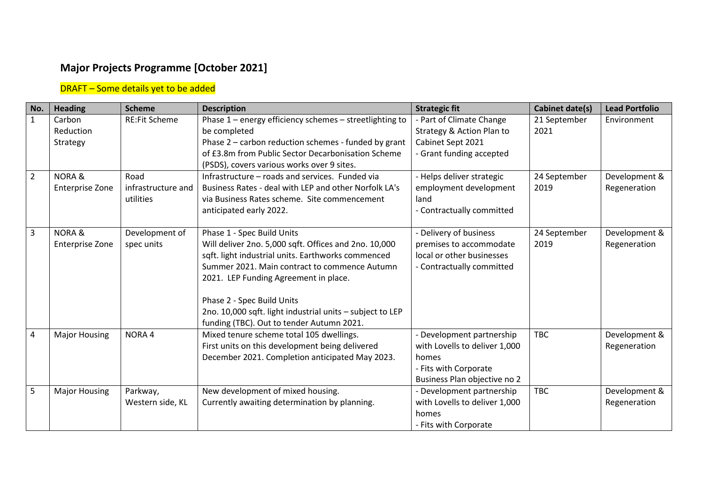## **Major Projects Programme [October 2021]**

## DRAFT – Some details yet to be added

| No.            | <b>Heading</b>       | <b>Scheme</b>        | <b>Description</b>                                        | <b>Strategic fit</b>          | <b>Cabinet date(s)</b> | <b>Lead Portfolio</b> |
|----------------|----------------------|----------------------|-----------------------------------------------------------|-------------------------------|------------------------|-----------------------|
| $\mathbf{1}$   | Carbon               | <b>RE:Fit Scheme</b> | Phase 1 - energy efficiency schemes - streetlighting to   | - Part of Climate Change      | 21 September           | Environment           |
|                | Reduction            |                      | be completed                                              | Strategy & Action Plan to     | 2021                   |                       |
|                | Strategy             |                      | Phase 2 - carbon reduction schemes - funded by grant      | Cabinet Sept 2021             |                        |                       |
|                |                      |                      | of £3.8m from Public Sector Decarbonisation Scheme        | - Grant funding accepted      |                        |                       |
|                |                      |                      | (PSDS), covers various works over 9 sites.                |                               |                        |                       |
| $\overline{2}$ | <b>NORA &amp;</b>    | Road                 | Infrastructure - roads and services. Funded via           | - Helps deliver strategic     | 24 September           | Development &         |
|                | Enterprise Zone      | infrastructure and   | Business Rates - deal with LEP and other Norfolk LA's     | employment development        | 2019                   | Regeneration          |
|                |                      | utilities            | via Business Rates scheme. Site commencement              | land                          |                        |                       |
|                |                      |                      | anticipated early 2022.                                   | - Contractually committed     |                        |                       |
| $\overline{3}$ | <b>NORA&amp;</b>     | Development of       | Phase 1 - Spec Build Units                                | - Delivery of business        | 24 September           | Development &         |
|                | Enterprise Zone      | spec units           | Will deliver 2no. 5,000 sqft. Offices and 2no. 10,000     | premises to accommodate       | 2019                   | Regeneration          |
|                |                      |                      | sqft. light industrial units. Earthworks commenced        | local or other businesses     |                        |                       |
|                |                      |                      | Summer 2021. Main contract to commence Autumn             | - Contractually committed     |                        |                       |
|                |                      |                      | 2021. LEP Funding Agreement in place.                     |                               |                        |                       |
|                |                      |                      | Phase 2 - Spec Build Units                                |                               |                        |                       |
|                |                      |                      | 2no. 10,000 sqft. light industrial units - subject to LEP |                               |                        |                       |
|                |                      |                      | funding (TBC). Out to tender Autumn 2021.                 |                               |                        |                       |
| 4              | <b>Major Housing</b> | NORA <sub>4</sub>    | Mixed tenure scheme total 105 dwellings.                  | - Development partnership     | <b>TBC</b>             | Development &         |
|                |                      |                      | First units on this development being delivered           | with Lovells to deliver 1,000 |                        | Regeneration          |
|                |                      |                      | December 2021. Completion anticipated May 2023.           | homes                         |                        |                       |
|                |                      |                      |                                                           | - Fits with Corporate         |                        |                       |
|                |                      |                      |                                                           | Business Plan objective no 2  |                        |                       |
| 5              | <b>Major Housing</b> | Parkway,             | New development of mixed housing.                         | - Development partnership     | <b>TBC</b>             | Development &         |
|                |                      | Western side, KL     | Currently awaiting determination by planning.             | with Lovells to deliver 1,000 |                        | Regeneration          |
|                |                      |                      |                                                           | homes                         |                        |                       |
|                |                      |                      |                                                           | - Fits with Corporate         |                        |                       |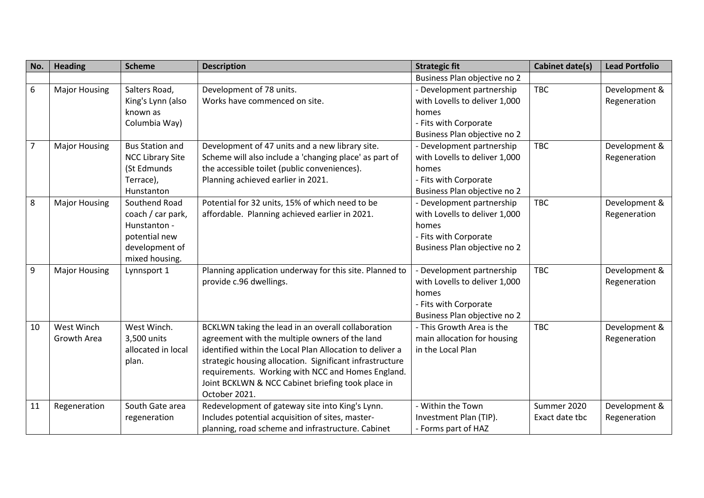| No.            | <b>Heading</b>       | <b>Scheme</b>           | <b>Description</b>                                       | <b>Strategic fit</b>          | <b>Cabinet date(s)</b> | <b>Lead Portfolio</b> |
|----------------|----------------------|-------------------------|----------------------------------------------------------|-------------------------------|------------------------|-----------------------|
|                |                      |                         |                                                          | Business Plan objective no 2  |                        |                       |
| 6              | <b>Major Housing</b> | Salters Road,           | Development of 78 units.                                 | - Development partnership     | <b>TBC</b>             | Development &         |
|                |                      | King's Lynn (also       | Works have commenced on site.                            | with Lovells to deliver 1,000 |                        | Regeneration          |
|                |                      | known as                |                                                          | homes                         |                        |                       |
|                |                      | Columbia Way)           |                                                          | - Fits with Corporate         |                        |                       |
|                |                      |                         |                                                          | Business Plan objective no 2  |                        |                       |
| $\overline{7}$ | <b>Major Housing</b> | <b>Bus Station and</b>  | Development of 47 units and a new library site.          | - Development partnership     | <b>TBC</b>             | Development &         |
|                |                      | <b>NCC Library Site</b> | Scheme will also include a 'changing place' as part of   | with Lovells to deliver 1,000 |                        | Regeneration          |
|                |                      | (St Edmunds             | the accessible toilet (public conveniences).             | homes                         |                        |                       |
|                |                      | Terrace),               | Planning achieved earlier in 2021.                       | - Fits with Corporate         |                        |                       |
|                |                      | Hunstanton              |                                                          | Business Plan objective no 2  |                        |                       |
| 8              | <b>Major Housing</b> | Southend Road           | Potential for 32 units, 15% of which need to be          | - Development partnership     | <b>TBC</b>             | Development &         |
|                |                      | coach / car park,       | affordable. Planning achieved earlier in 2021.           | with Lovells to deliver 1,000 |                        | Regeneration          |
|                |                      | Hunstanton -            |                                                          | homes                         |                        |                       |
|                |                      | potential new           |                                                          | - Fits with Corporate         |                        |                       |
|                |                      | development of          |                                                          | Business Plan objective no 2  |                        |                       |
|                |                      | mixed housing.          |                                                          |                               |                        |                       |
| 9              | <b>Major Housing</b> | Lynnsport 1             | Planning application underway for this site. Planned to  | Development partnership       | <b>TBC</b>             | Development &         |
|                |                      |                         | provide c.96 dwellings.                                  | with Lovells to deliver 1,000 |                        | Regeneration          |
|                |                      |                         |                                                          | homes                         |                        |                       |
|                |                      |                         |                                                          | - Fits with Corporate         |                        |                       |
|                |                      |                         |                                                          | Business Plan objective no 2  |                        |                       |
| 10             | West Winch           | West Winch.             | BCKLWN taking the lead in an overall collaboration       | - This Growth Area is the     | <b>TBC</b>             | Development &         |
|                | Growth Area          | 3,500 units             | agreement with the multiple owners of the land           | main allocation for housing   |                        | Regeneration          |
|                |                      | allocated in local      | identified within the Local Plan Allocation to deliver a | in the Local Plan             |                        |                       |
|                |                      | plan.                   | strategic housing allocation. Significant infrastructure |                               |                        |                       |
|                |                      |                         | requirements. Working with NCC and Homes England.        |                               |                        |                       |
|                |                      |                         | Joint BCKLWN & NCC Cabinet briefing took place in        |                               |                        |                       |
|                |                      |                         | October 2021.                                            |                               |                        |                       |
| 11             | Regeneration         | South Gate area         | Redevelopment of gateway site into King's Lynn.          | - Within the Town             | Summer 2020            | Development &         |
|                |                      | regeneration            | Includes potential acquisition of sites, master-         | Investment Plan (TIP).        | Exact date tbc         | Regeneration          |
|                |                      |                         | planning, road scheme and infrastructure. Cabinet        | - Forms part of HAZ           |                        |                       |